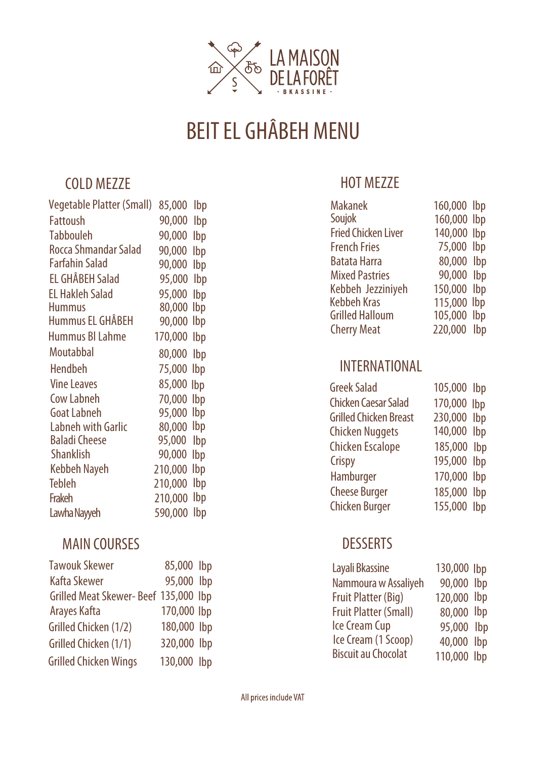

# BEIT EL GHÂBEH MENU

# COLD MEZZE

| Vegetable Platter (Small) 85,000 lbp |             | <b>Makanek</b>                          |   |
|--------------------------------------|-------------|-----------------------------------------|---|
| <b>Fattoush</b>                      | 90,000 lbp  | Soujok                                  |   |
| <b>Tabbouleh</b>                     | 90,000 lbp  | <b>Fried Chicken Liver</b>              |   |
| Rocca Shmandar Salad                 | 90,000 lbp  | <b>French Fries</b>                     |   |
| <b>Farfahin Salad</b>                | 90,000 lbp  | <b>Batata Harra</b>                     |   |
| <b>EL GHÂBEH Salad</b>               | 95,000 lbp  | <b>Mixed Pastries</b>                   |   |
| <b>EL Hakleh Salad</b>               | 95,000 lbp  | Kebbeh Jezziniyeh<br><b>Kebbeh Kras</b> |   |
| <b>Hummus</b>                        | 80,000 lbp  | <b>Grilled Halloum</b>                  |   |
| Hummus EL GHÂBEH                     | 90,000 lbp  | <b>Cherry Meat</b>                      | 2 |
| <b>Hummus BI Lahme</b>               | 170,000 lbp |                                         |   |
| Moutabbal                            | 80,000 lbp  |                                         |   |
| <b>Hendbeh</b>                       | 75,000 lbp  | INTERNATIONAL                           |   |
| <b>Vine Leaves</b>                   | 85,000 lbp  | <b>Greek Salad</b>                      |   |
| Cow Labneh                           | 70,000 lbp  | <b>Chicken Caesar Salad</b>             |   |
| <b>Goat Labneh</b>                   | 95,000 lbp  | <b>Grilled Chicken Breast</b>           | 2 |
| <b>Labneh with Garlic</b>            | 80,000 lbp  | <b>Chicken Nuggets</b>                  | 1 |
| <b>Baladi Cheese</b>                 | 95,000 lbp  | <b>Chicken Escalope</b>                 |   |
| <b>Shanklish</b>                     | 90,000 lbp  | Crispy                                  |   |
| Kebbeh Nayeh                         | 210,000 lbp | <b>Hamburger</b>                        |   |
| <b>Tebleh</b>                        | 210,000 lbp | <b>Cheese Burger</b>                    |   |
| <b>Frakeh</b>                        | 210,000 lbp | <b>Chicken Burger</b>                   |   |
| Lawha Nayyeh                         | 590,000 lbp |                                         |   |

## MAIN COURSES

| <b>Tawouk Skewer</b>                 | 85,000 lbp  |  |
|--------------------------------------|-------------|--|
| <b>Kafta Skewer</b>                  | 95,000 lbp  |  |
| Grilled Meat Skewer-Beef 135,000 lbp |             |  |
| Arayes Kafta                         | 170,000 lbp |  |
| Grilled Chicken (1/2)                | 180,000 lbp |  |
| Grilled Chicken (1/1)                | 320,000 lbp |  |
| <b>Grilled Chicken Wings</b>         | 130,000 lbp |  |
|                                      |             |  |

# HOT MEZZE

| <b>Makanek</b>             | 160,000 lbp |  |
|----------------------------|-------------|--|
| Soujok                     | 160,000 lbp |  |
| <b>Fried Chicken Liver</b> | 140,000 lbp |  |
| <b>French Fries</b>        | 75,000 lbp  |  |
| <b>Batata Harra</b>        | 80,000 lbp  |  |
| <b>Mixed Pastries</b>      | 90,000 lbp  |  |
| Kebbeh Jezziniyeh          | 150,000 lbp |  |
| <b>Kebbeh Kras</b>         | 115,000 lbp |  |
| <b>Grilled Halloum</b>     | 105,000 lbp |  |
| <b>Cherry Meat</b>         | 220,000 lbp |  |
|                            |             |  |

#### INTERNATIONAL

| <b>Greek Salad</b>            | 105,000 | lbp  |
|-------------------------------|---------|------|
| <b>Chicken Caesar Salad</b>   | 170,000 | lbp  |
| <b>Grilled Chicken Breast</b> | 230,000 | lbp  |
| <b>Chicken Nuggets</b>        | 140,000 | lbp  |
| <b>Chicken Escalope</b>       | 185,000 | lbp  |
| Crispy                        | 195,000 | lbp  |
| Hamburger                     | 170,000 | -lbp |
| <b>Cheese Burger</b>          | 185,000 | lbp  |
| <b>Chicken Burger</b>         | 155,000 | lbp  |
|                               |         |      |

## **DESSERTS**

| Layali Bkassine              | 130,000 lbp |  |
|------------------------------|-------------|--|
| Nammoura w Assaliyeh         | 90,000 lbp  |  |
| <b>Fruit Platter (Big)</b>   | 120,000 lbp |  |
| <b>Fruit Platter (Small)</b> | 80,000 lbp  |  |
| <b>Ice Cream Cup</b>         | 95,000 lbp  |  |
| Ice Cream (1 Scoop)          | 40,000 lbp  |  |
| <b>Biscuit au Chocolat</b>   | 110,000 lbp |  |